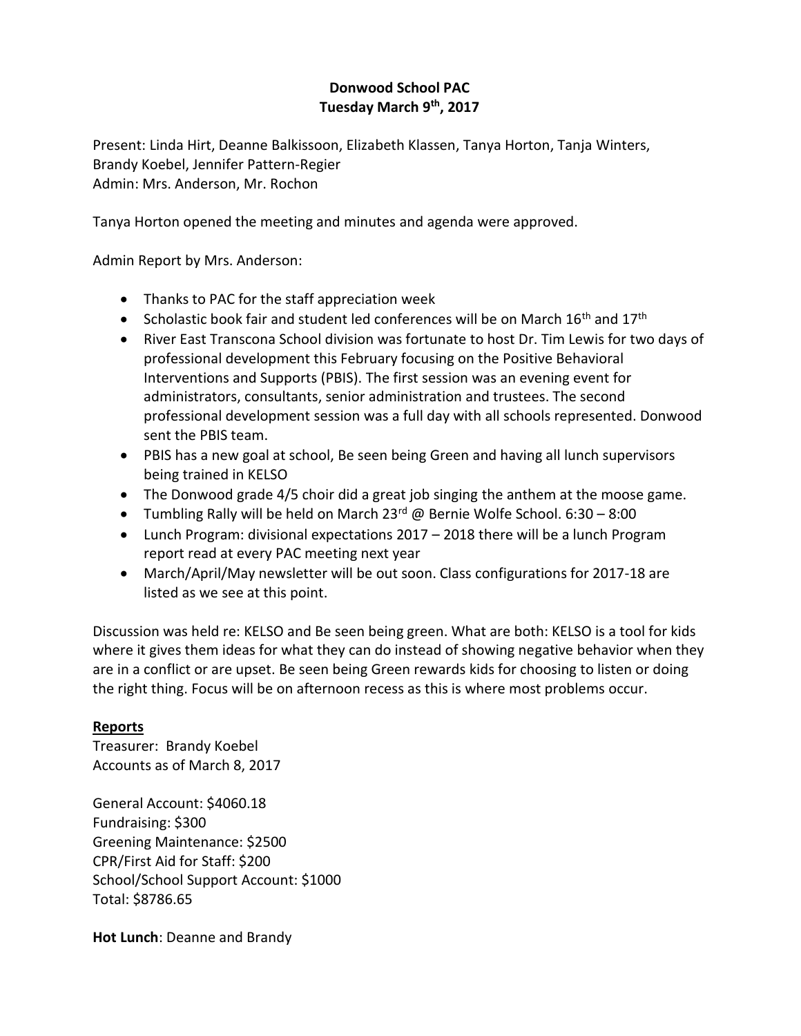# **Donwood School PAC Tuesday March 9th, 2017**

Present: Linda Hirt, Deanne Balkissoon, Elizabeth Klassen, Tanya Horton, Tanja Winters, Brandy Koebel, Jennifer Pattern-Regier Admin: Mrs. Anderson, Mr. Rochon

Tanya Horton opened the meeting and minutes and agenda were approved.

Admin Report by Mrs. Anderson:

- Thanks to PAC for the staff appreciation week
- Scholastic book fair and student led conferences will be on March  $16<sup>th</sup>$  and  $17<sup>th</sup>$
- River East Transcona School division was fortunate to host Dr. Tim Lewis for two days of professional development this February focusing on the Positive Behavioral Interventions and Supports (PBIS). The first session was an evening event for administrators, consultants, senior administration and trustees. The second professional development session was a full day with all schools represented. Donwood sent the PBIS team.
- PBIS has a new goal at school, Be seen being Green and having all lunch supervisors being trained in KELSO
- The Donwood grade 4/5 choir did a great job singing the anthem at the moose game.
- Tumbling Rally will be held on March  $23^{rd}$  @ Bernie Wolfe School. 6:30 8:00
- Lunch Program: divisional expectations 2017 2018 there will be a lunch Program report read at every PAC meeting next year
- March/April/May newsletter will be out soon. Class configurations for 2017-18 are listed as we see at this point.

Discussion was held re: KELSO and Be seen being green. What are both: KELSO is a tool for kids where it gives them ideas for what they can do instead of showing negative behavior when they are in a conflict or are upset. Be seen being Green rewards kids for choosing to listen or doing the right thing. Focus will be on afternoon recess as this is where most problems occur.

### **Reports**

Treasurer: Brandy Koebel Accounts as of March 8, 2017

General Account: \$4060.18 Fundraising: \$300 Greening Maintenance: \$2500 CPR/First Aid for Staff: \$200 School/School Support Account: \$1000 Total: \$8786.65

**Hot Lunch**: Deanne and Brandy